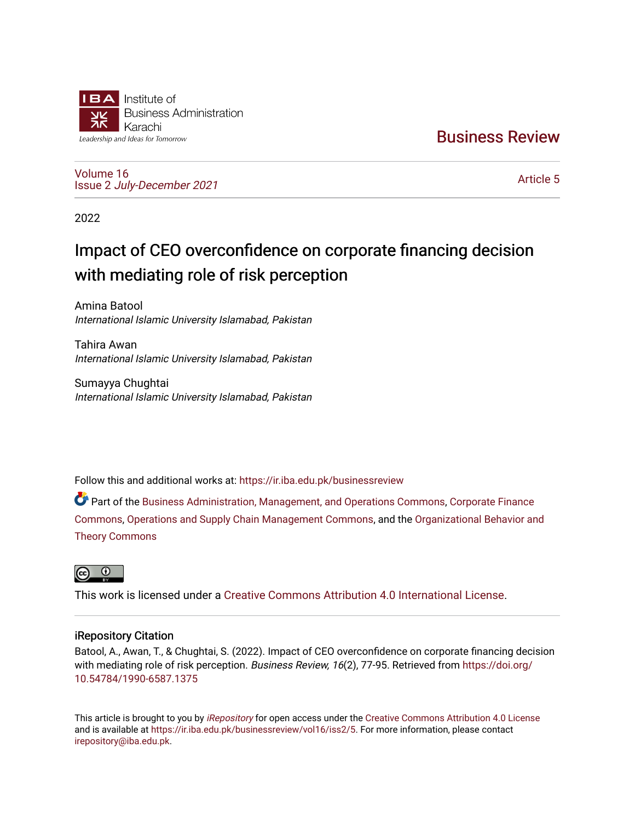

[Business Review](https://ir.iba.edu.pk/businessreview) 

[Volume 16](https://ir.iba.edu.pk/businessreview/vol16) Issue 2 [July-December 2021](https://ir.iba.edu.pk/businessreview/vol16/iss2)

[Article 5](https://ir.iba.edu.pk/businessreview/vol16/iss2/5) 

2022

# Impact of CEO overconfidence on corporate financing decision with mediating role of risk perception

Amina Batool International Islamic University Islamabad, Pakistan

Tahira Awan International Islamic University Islamabad, Pakistan

Sumayya Chughtai International Islamic University Islamabad, Pakistan

Follow this and additional works at: [https://ir.iba.edu.pk/businessreview](https://ir.iba.edu.pk/businessreview?utm_source=ir.iba.edu.pk%2Fbusinessreview%2Fvol16%2Fiss2%2F5&utm_medium=PDF&utm_campaign=PDFCoverPages) 

Part of the [Business Administration, Management, and Operations Commons](http://network.bepress.com/hgg/discipline/623?utm_source=ir.iba.edu.pk%2Fbusinessreview%2Fvol16%2Fiss2%2F5&utm_medium=PDF&utm_campaign=PDFCoverPages), [Corporate Finance](http://network.bepress.com/hgg/discipline/629?utm_source=ir.iba.edu.pk%2Fbusinessreview%2Fvol16%2Fiss2%2F5&utm_medium=PDF&utm_campaign=PDFCoverPages) [Commons](http://network.bepress.com/hgg/discipline/629?utm_source=ir.iba.edu.pk%2Fbusinessreview%2Fvol16%2Fiss2%2F5&utm_medium=PDF&utm_campaign=PDFCoverPages), [Operations and Supply Chain Management Commons](http://network.bepress.com/hgg/discipline/1229?utm_source=ir.iba.edu.pk%2Fbusinessreview%2Fvol16%2Fiss2%2F5&utm_medium=PDF&utm_campaign=PDFCoverPages), and the [Organizational Behavior and](http://network.bepress.com/hgg/discipline/639?utm_source=ir.iba.edu.pk%2Fbusinessreview%2Fvol16%2Fiss2%2F5&utm_medium=PDF&utm_campaign=PDFCoverPages)  [Theory Commons](http://network.bepress.com/hgg/discipline/639?utm_source=ir.iba.edu.pk%2Fbusinessreview%2Fvol16%2Fiss2%2F5&utm_medium=PDF&utm_campaign=PDFCoverPages)



This work is licensed under a [Creative Commons Attribution 4.0 International License](https://creativecommons.org/licenses/by/4.0/).

# iRepository Citation

Batool, A., Awan, T., & Chughtai, S. (2022). Impact of CEO overconfidence on corporate financing decision with mediating role of risk perception. Business Review, 16(2), 77-95. Retrieved from [https://doi.org/](https://doi.org/10.54784/1990-6587.1375) [10.54784/1990-6587.1375](https://doi.org/10.54784/1990-6587.1375) 

This article is brought to you by [iRepository](https://ir.iba.edu.pk/) for open access under the Creative Commons Attribution 4.0 License and is available at [https://ir.iba.edu.pk/businessreview/vol16/iss2/5.](https://ir.iba.edu.pk/businessreview/vol16/iss2/5) For more information, please contact [irepository@iba.edu.pk.](mailto:irepository@iba.edu.pk)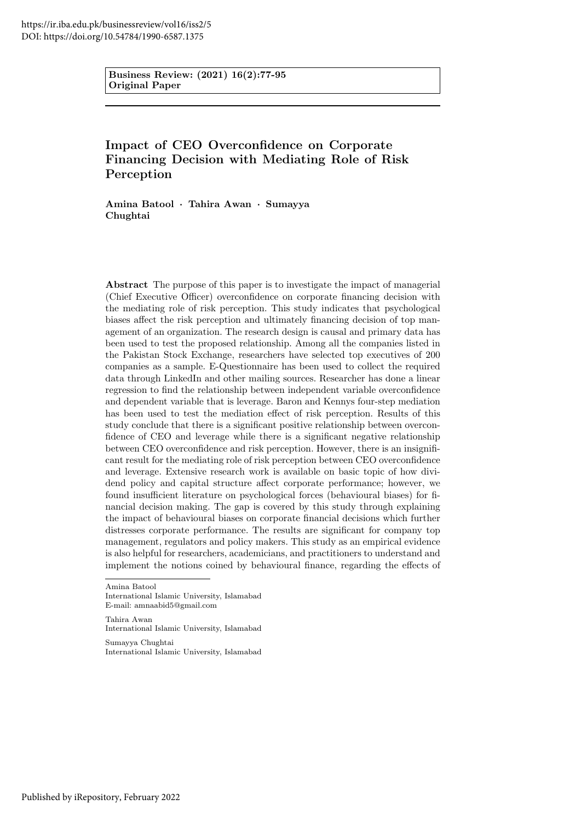Business Review: (2021) 16(2):77-95 Original Paper

# Impact of CEO Overconfidence on Corporate Financing Decision with Mediating Role of Risk Perception

Amina Batool · Tahira Awan · Sumayya Chughtai

Abstract The purpose of this paper is to investigate the impact of managerial (Chief Executive Officer) overconfidence on corporate financing decision with the mediating role of risk perception. This study indicates that psychological biases affect the risk perception and ultimately financing decision of top management of an organization. The research design is causal and primary data has been used to test the proposed relationship. Among all the companies listed in the Pakistan Stock Exchange, researchers have selected top executives of 200 companies as a sample. E-Questionnaire has been used to collect the required data through LinkedIn and other mailing sources. Researcher has done a linear regression to find the relationship between independent variable overconfidence and dependent variable that is leverage. Baron and Kennys four-step mediation has been used to test the mediation effect of risk perception. Results of this study conclude that there is a significant positive relationship between overconfidence of CEO and leverage while there is a significant negative relationship between CEO overconfidence and risk perception. However, there is an insignificant result for the mediating role of risk perception between CEO overconfidence and leverage. Extensive research work is available on basic topic of how dividend policy and capital structure affect corporate performance; however, we found insufficient literature on psychological forces (behavioural biases) for financial decision making. The gap is covered by this study through explaining the impact of behavioural biases on corporate financial decisions which further distresses corporate performance. The results are significant for company top management, regulators and policy makers. This study as an empirical evidence is also helpful for researchers, academicians, and practitioners to understand and implement the notions coined by behavioural finance, regarding the effects of

Amina Batool

International Islamic University, Islamabad E-mail: amnaabid5@gmail.com

Tahira Awan International Islamic University, Islamabad

Sumayya Chughtai International Islamic University, Islamabad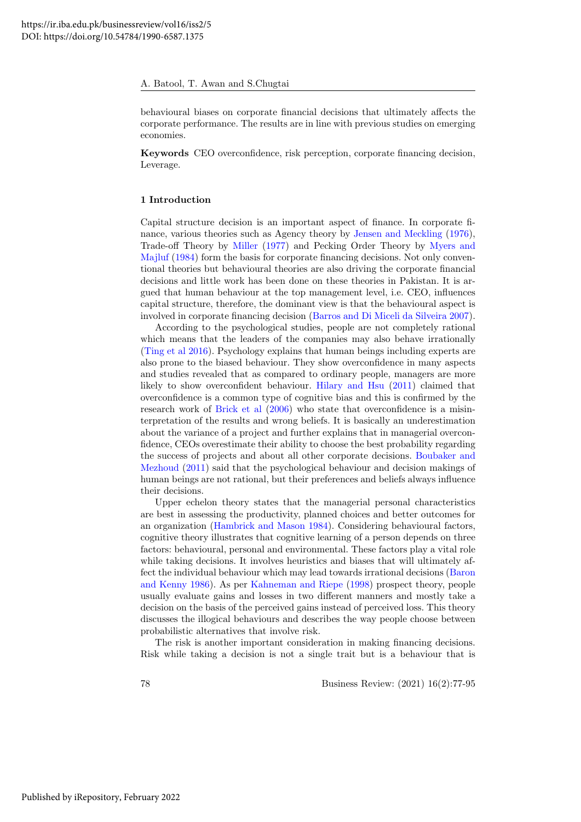behavioural biases on corporate financial decisions that ultimately affects the corporate performance. The results are in line with previous studies on emerging economies.

Keywords CEO overconfidence, risk perception, corporate financing decision, Leverage.

#### 1 Introduction

Capital structure decision is an important aspect of finance. In corporate finance, various theories such as Agency theory by [Jensen and Meckling](#page-14-0) [\(1976\)](#page-14-0), Trade-off Theory by [Miller](#page-15-0) [\(1977\)](#page-15-0) and Pecking Order Theory by [Myers and](#page-15-1) [Majluf](#page-15-1) [\(1984\)](#page-15-1) form the basis for corporate financing decisions. Not only conventional theories but behavioural theories are also driving the corporate financial decisions and little work has been done on these theories in Pakistan. It is argued that human behaviour at the top management level, i.e. CEO, influences capital structure, therefore, the dominant view is that the behavioural aspect is involved in corporate financing decision [\(Barros and Di Miceli da Silveira 2007\)](#page-13-0).

According to the psychological studies, people are not completely rational which means that the leaders of the companies may also behave irrationally [\(Ting et al 2016\)](#page-15-2). Psychology explains that human beings including experts are also prone to the biased behaviour. They show overconfidence in many aspects and studies revealed that as compared to ordinary people, managers are more likely to show overconfident behaviour. [Hilary and Hsu](#page-14-1) [\(2011\)](#page-14-1) claimed that overconfidence is a common type of cognitive bias and this is confirmed by the research work of [Brick et al](#page-13-1) [\(2006\)](#page-13-1) who state that overconfidence is a misinterpretation of the results and wrong beliefs. It is basically an underestimation about the variance of a project and further explains that in managerial overconfidence, CEOs overestimate their ability to choose the best probability regarding the success of projects and about all other corporate decisions. [Boubaker and](#page-13-2) [Mezhoud](#page-13-2) [\(2011\)](#page-13-2) said that the psychological behaviour and decision makings of human beings are not rational, but their preferences and beliefs always influence their decisions.

Upper echelon theory states that the managerial personal characteristics are best in assessing the productivity, planned choices and better outcomes for an organization [\(Hambrick and Mason 1984\)](#page-14-2). Considering behavioural factors, cognitive theory illustrates that cognitive learning of a person depends on three factors: behavioural, personal and environmental. These factors play a vital role while taking decisions. It involves heuristics and biases that will ultimately affect the individual behaviour which may lead towards irrational decisions [\(Baron](#page-13-3) [and Kenny 1986\)](#page-13-3). As per [Kahneman and Riepe](#page-14-3) [\(1998\)](#page-14-3) prospect theory, people usually evaluate gains and losses in two different manners and mostly take a decision on the basis of the perceived gains instead of perceived loss. This theory discusses the illogical behaviours and describes the way people choose between probabilistic alternatives that involve risk.

The risk is another important consideration in making financing decisions. Risk while taking a decision is not a single trait but is a behaviour that is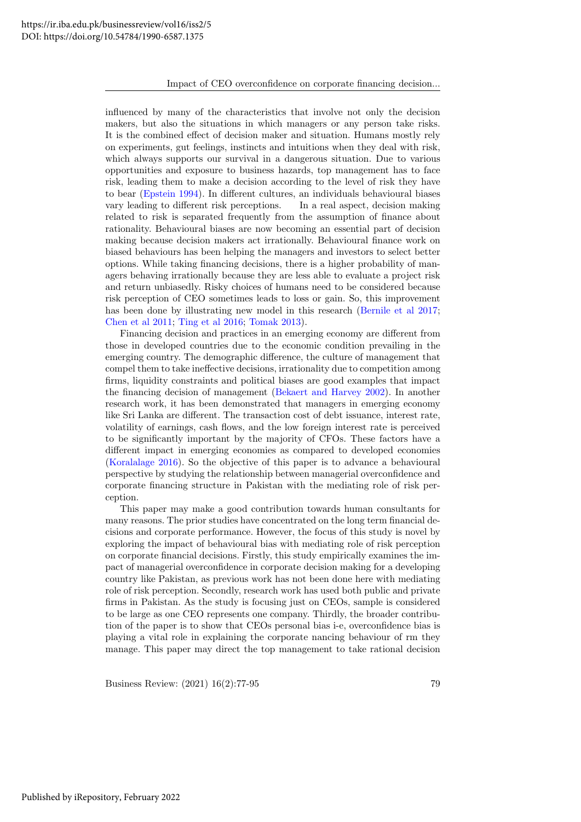#### Impact of CEO overconfidence on corporate financing decision...

influenced by many of the characteristics that involve not only the decision makers, but also the situations in which managers or any person take risks. It is the combined effect of decision maker and situation. Humans mostly rely on experiments, gut feelings, instincts and intuitions when they deal with risk, which always supports our survival in a dangerous situation. Due to various opportunities and exposure to business hazards, top management has to face risk, leading them to make a decision according to the level of risk they have to bear [\(Epstein 1994\)](#page-14-4). In different cultures, an individuals behavioural biases vary leading to different risk perceptions. In a real aspect, decision making related to risk is separated frequently from the assumption of finance about rationality. Behavioural biases are now becoming an essential part of decision making because decision makers act irrationally. Behavioural finance work on biased behaviours has been helping the managers and investors to select better options. While taking financing decisions, there is a higher probability of managers behaving irrationally because they are less able to evaluate a project risk and return unbiasedly. Risky choices of humans need to be considered because risk perception of CEO sometimes leads to loss or gain. So, this improvement has been done by illustrating new model in this research [\(Bernile et al 2017;](#page-13-4) [Chen et al 2011;](#page-13-5) [Ting et al 2016;](#page-15-2) [Tomak 2013\)](#page-15-3).

Financing decision and practices in an emerging economy are different from those in developed countries due to the economic condition prevailing in the emerging country. The demographic difference, the culture of management that compel them to take ineffective decisions, irrationality due to competition among firms, liquidity constraints and political biases are good examples that impact the financing decision of management [\(Bekaert and Harvey 2002\)](#page-13-6). In another research work, it has been demonstrated that managers in emerging economy like Sri Lanka are different. The transaction cost of debt issuance, interest rate, volatility of earnings, cash flows, and the low foreign interest rate is perceived to be significantly important by the majority of CFOs. These factors have a different impact in emerging economies as compared to developed economies [\(Koralalage 2016\)](#page-14-5). So the objective of this paper is to advance a behavioural perspective by studying the relationship between managerial overconfidence and corporate financing structure in Pakistan with the mediating role of risk perception.

This paper may make a good contribution towards human consultants for many reasons. The prior studies have concentrated on the long term financial decisions and corporate performance. However, the focus of this study is novel by exploring the impact of behavioural bias with mediating role of risk perception on corporate financial decisions. Firstly, this study empirically examines the impact of managerial overconfidence in corporate decision making for a developing country like Pakistan, as previous work has not been done here with mediating role of risk perception. Secondly, research work has used both public and private firms in Pakistan. As the study is focusing just on CEOs, sample is considered to be large as one CEO represents one company. Thirdly, the broader contribution of the paper is to show that CEOs personal bias i-e, overconfidence bias is playing a vital role in explaining the corporate nancing behaviour of rm they manage. This paper may direct the top management to take rational decision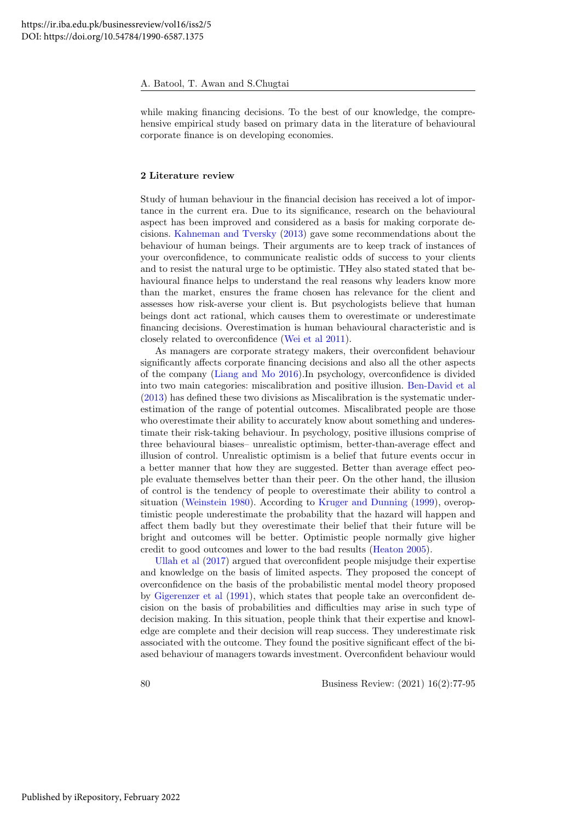while making financing decisions. To the best of our knowledge, the comprehensive empirical study based on primary data in the literature of behavioural corporate finance is on developing economies.

#### 2 Literature review

Study of human behaviour in the financial decision has received a lot of importance in the current era. Due to its significance, research on the behavioural aspect has been improved and considered as a basis for making corporate decisions. [Kahneman and Tversky](#page-14-6) [\(2013\)](#page-14-6) gave some recommendations about the behaviour of human beings. Their arguments are to keep track of instances of your overconfidence, to communicate realistic odds of success to your clients and to resist the natural urge to be optimistic. THey also stated stated that behavioural finance helps to understand the real reasons why leaders know more than the market, ensures the frame chosen has relevance for the client and assesses how risk-averse your client is. But psychologists believe that human beings dont act rational, which causes them to overestimate or underestimate financing decisions. Overestimation is human behavioural characteristic and is closely related to overconfidence [\(Wei et al 2011\)](#page-15-4).

As managers are corporate strategy makers, their overconfident behaviour significantly affects corporate financing decisions and also all the other aspects of the company [\(Liang and Mo 2016\)](#page-14-7).In psychology, overconfidence is divided into two main categories: miscalibration and positive illusion. [Ben-David et al](#page-13-7) [\(2013\)](#page-13-7) has defined these two divisions as Miscalibration is the systematic underestimation of the range of potential outcomes. Miscalibrated people are those who overestimate their ability to accurately know about something and underestimate their risk-taking behaviour. In psychology, positive illusions comprise of three behavioural biases– unrealistic optimism, better-than-average effect and illusion of control. Unrealistic optimism is a belief that future events occur in a better manner that how they are suggested. Better than average effect people evaluate themselves better than their peer. On the other hand, the illusion of control is the tendency of people to overestimate their ability to control a situation [\(Weinstein 1980\)](#page-15-5). According to [Kruger and Dunning](#page-14-8) [\(1999\)](#page-14-8), overoptimistic people underestimate the probability that the hazard will happen and affect them badly but they overestimate their belief that their future will be bright and outcomes will be better. Optimistic people normally give higher credit to good outcomes and lower to the bad results [\(Heaton 2005\)](#page-14-9).

[Ullah et al](#page-15-6) [\(2017\)](#page-15-6) argued that overconfident people misjudge their expertise and knowledge on the basis of limited aspects. They proposed the concept of overconfidence on the basis of the probabilistic mental model theory proposed by [Gigerenzer et al](#page-14-10) [\(1991\)](#page-14-10), which states that people take an overconfident decision on the basis of probabilities and difficulties may arise in such type of decision making. In this situation, people think that their expertise and knowledge are complete and their decision will reap success. They underestimate risk associated with the outcome. They found the positive significant effect of the biased behaviour of managers towards investment. Overconfident behaviour would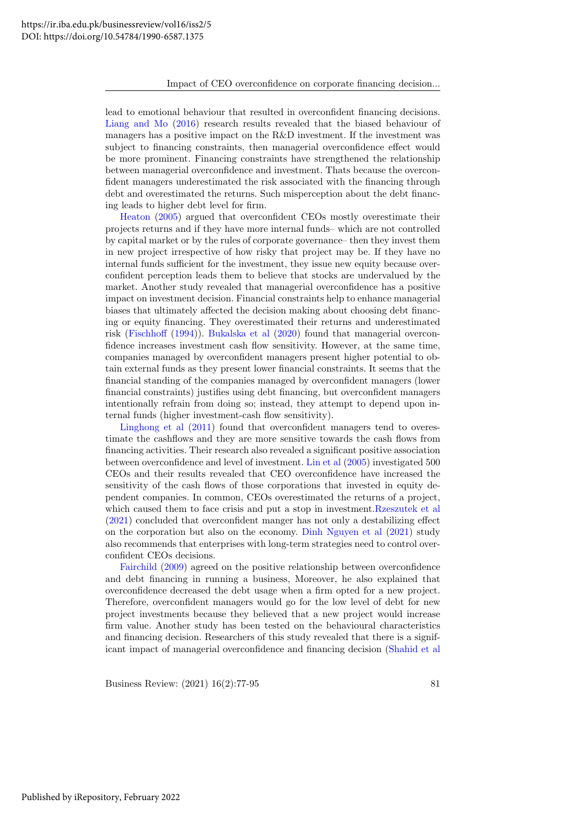lead to emotional behaviour that resulted in overconfident financing decisions. [Liang and Mo](#page-14-7) [\(2016\)](#page-14-7) research results revealed that the biased behaviour of managers has a positive impact on the R&D investment. If the investment was subject to financing constraints, then managerial overconfidence effect would be more prominent. Financing constraints have strengthened the relationship between managerial overconfidence and investment. Thats because the overconfident managers underestimated the risk associated with the financing through debt and overestimated the returns. Such misperception about the debt financing leads to higher debt level for firm.

[Heaton](#page-14-9) [\(2005\)](#page-14-9) argued that overconfident CEOs mostly overestimate their projects returns and if they have more internal funds– which are not controlled by capital market or by the rules of corporate governance– then they invest them in new project irrespective of how risky that project may be. If they have no internal funds sufficient for the investment, they issue new equity because overconfident perception leads them to believe that stocks are undervalued by the market. Another study revealed that managerial overconfidence has a positive impact on investment decision. Financial constraints help to enhance managerial biases that ultimately affected the decision making about choosing debt financing or equity financing. They overestimated their returns and underestimated risk [\(Fischhoff](#page-14-11) [\(1994\)](#page-14-11)). [Bukalska et al](#page-13-8) [\(2020\)](#page-13-8) found that managerial overconfidence increases investment cash flow sensitivity. However, at the same time, companies managed by overconfident managers present higher potential to obtain external funds as they present lower financial constraints. It seems that the financial standing of the companies managed by overconfident managers (lower financial constraints) justifies using debt financing, but overconfident managers intentionally refrain from doing so; instead, they attempt to depend upon internal funds (higher investment-cash flow sensitivity).

[Linghong et al](#page-14-12) [\(2011\)](#page-14-12) found that overconfident managers tend to overestimate the cashflows and they are more sensitive towards the cash flows from financing activities. Their research also revealed a significant positive association between overconfidence and level of investment. [Lin et al](#page-14-13) [\(2005\)](#page-14-13) investigated 500 CEOs and their results revealed that CEO overconfidence have increased the sensitivity of the cash flows of those corporations that invested in equity dependent companies. In common, CEOs overestimated the returns of a project, which caused them to face crisis and put a stop in investment[.Rzeszutek et al](#page-15-7) [\(2021\)](#page-15-7) concluded that overconfident manger has not only a destabilizing effect on the corporation but also on the economy. [Dinh Nguyen et al](#page-14-14) [\(2021\)](#page-14-14) study also recommends that enterprises with long-term strategies need to control overconfident CEOs decisions.

[Fairchild](#page-14-15) [\(2009\)](#page-14-15) agreed on the positive relationship between overconfidence and debt financing in running a business, Moreover, he also explained that overconfidence decreased the debt usage when a firm opted for a new project. Therefore, overconfident managers would go for the low level of debt for new project investments because they believed that a new project would increase firm value. Another study has been tested on the behavioural characteristics and financing decision. Researchers of this study revealed that there is a significant impact of managerial overconfidence and financing decision [\(Shahid et al](#page-15-8)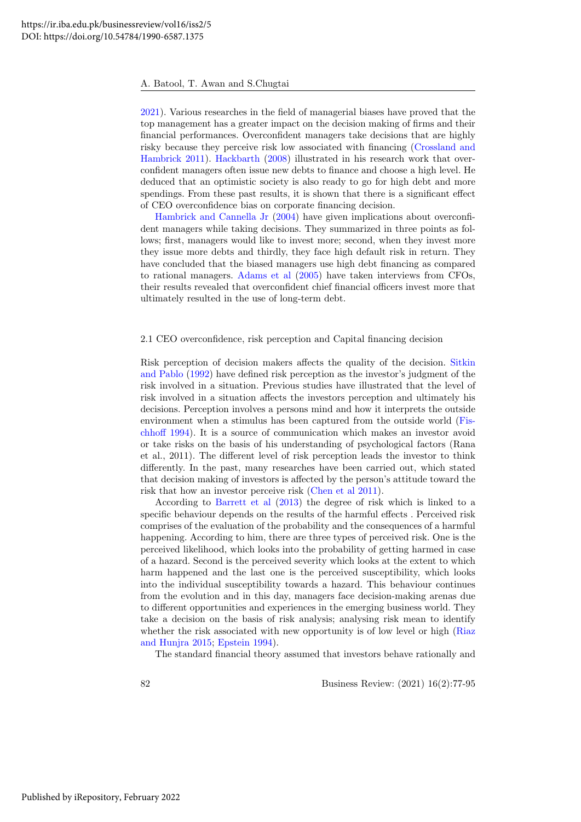[2021\)](#page-15-8). Various researches in the field of managerial biases have proved that the top management has a greater impact on the decision making of firms and their financial performances. Overconfident managers take decisions that are highly risky because they perceive risk low associated with financing [\(Crossland and](#page-14-16) [Hambrick 2011\)](#page-14-16). [Hackbarth](#page-14-17) [\(2008\)](#page-14-17) illustrated in his research work that overconfident managers often issue new debts to finance and choose a high level. He deduced that an optimistic society is also ready to go for high debt and more spendings. From these past results, it is shown that there is a significant effect of CEO overconfidence bias on corporate financing decision.

[Hambrick and Cannella Jr](#page-14-18) [\(2004\)](#page-14-18) have given implications about overconfident managers while taking decisions. They summarized in three points as follows; first, managers would like to invest more; second, when they invest more they issue more debts and thirdly, they face high default risk in return. They have concluded that the biased managers use high debt financing as compared to rational managers. [Adams et al](#page-13-9) [\(2005\)](#page-13-9) have taken interviews from CFOs, their results revealed that overconfident chief financial officers invest more that ultimately resulted in the use of long-term debt.

#### 2.1 CEO overconfidence, risk perception and Capital financing decision

Risk perception of decision makers affects the quality of the decision. [Sitkin](#page-15-9) [and Pablo](#page-15-9) [\(1992\)](#page-15-9) have defined risk perception as the investor's judgment of the risk involved in a situation. Previous studies have illustrated that the level of risk involved in a situation affects the investors perception and ultimately his decisions. Perception involves a persons mind and how it interprets the outside environment when a stimulus has been captured from the outside world [\(Fis](#page-14-11)[chhoff 1994\)](#page-14-11). It is a source of communication which makes an investor avoid or take risks on the basis of his understanding of psychological factors (Rana et al., 2011). The different level of risk perception leads the investor to think differently. In the past, many researches have been carried out, which stated that decision making of investors is affected by the person's attitude toward the risk that how an investor perceive risk [\(Chen et al 2011\)](#page-13-5).

According to [Barrett et al](#page-13-10) [\(2013\)](#page-13-10) the degree of risk which is linked to a specific behaviour depends on the results of the harmful effects . Perceived risk comprises of the evaluation of the probability and the consequences of a harmful happening. According to him, there are three types of perceived risk. One is the perceived likelihood, which looks into the probability of getting harmed in case of a hazard. Second is the perceived severity which looks at the extent to which harm happened and the last one is the perceived susceptibility, which looks into the individual susceptibility towards a hazard. This behaviour continues from the evolution and in this day, managers face decision-making arenas due to different opportunities and experiences in the emerging business world. They take a decision on the basis of risk analysis; analysing risk mean to identify whether the risk associated with new opportunity is of low level or high [\(Riaz](#page-15-10) [and Hunjra 2015;](#page-15-10) [Epstein 1994\)](#page-14-4).

The standard financial theory assumed that investors behave rationally and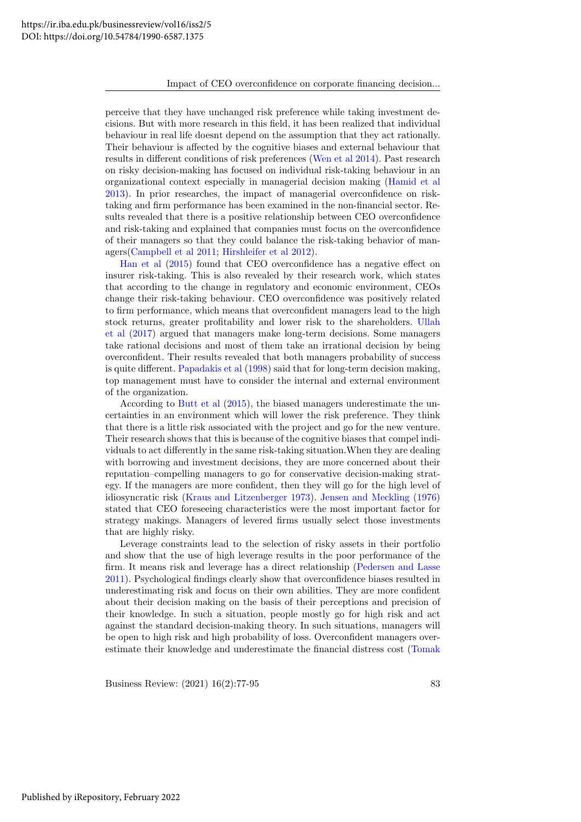perceive that they have unchanged risk preference while taking investment decisions. But with more research in this field, it has been realized that individual behaviour in real life doesnt depend on the assumption that they act rationally. Their behaviour is affected by the cognitive biases and external behaviour that results in different conditions of risk preferences [\(Wen et al 2014\)](#page-15-11). Past research on risky decision-making has focused on individual risk-taking behaviour in an organizational context especially in managerial decision making [\(Hamid et al](#page-14-19) [2013\)](#page-14-19). In prior researches, the impact of managerial overconfidence on risktaking and firm performance has been examined in the non-financial sector. Results revealed that there is a positive relationship between CEO overconfidence and risk-taking and explained that companies must focus on the overconfidence of their managers so that they could balance the risk-taking behavior of managers[\(Campbell et al 2011;](#page-13-11) [Hirshleifer et al 2012\)](#page-14-20).

[Han et al](#page-14-21) [\(2015\)](#page-14-21) found that CEO overconfidence has a negative effect on insurer risk-taking. This is also revealed by their research work, which states that according to the change in regulatory and economic environment, CEOs change their risk-taking behaviour. CEO overconfidence was positively related to firm performance, which means that overconfident managers lead to the high stock returns, greater profitability and lower risk to the shareholders. [Ullah](#page-15-6) [et al](#page-15-6) [\(2017\)](#page-15-6) argued that managers make long-term decisions. Some managers take rational decisions and most of them take an irrational decision by being overconfident. Their results revealed that both managers probability of success is quite different. [Papadakis et al](#page-15-12) [\(1998\)](#page-15-12) said that for long-term decision making, top management must have to consider the internal and external environment of the organization.

According to [Butt et al](#page-13-12) [\(2015\)](#page-13-12), the biased managers underestimate the uncertainties in an environment which will lower the risk preference. They think that there is a little risk associated with the project and go for the new venture. Their research shows that this is because of the cognitive biases that compel individuals to act differently in the same risk-taking situation.When they are dealing with borrowing and investment decisions, they are more concerned about their reputation–compelling managers to go for conservative decision-making strategy. If the managers are more confident, then they will go for the high level of idiosyncratic risk [\(Kraus and Litzenberger 1973\)](#page-14-22). [Jensen and Meckling](#page-14-0) [\(1976\)](#page-14-0) stated that CEO foreseeing characteristics were the most important factor for strategy makings. Managers of levered firms usually select those investments that are highly risky.

Leverage constraints lead to the selection of risky assets in their portfolio and show that the use of high leverage results in the poor performance of the firm. It means risk and leverage has a direct relationship [\(Pedersen and Lasse](#page-15-13) [2011\)](#page-15-13). Psychological findings clearly show that overconfidence biases resulted in underestimating risk and focus on their own abilities. They are more confident about their decision making on the basis of their perceptions and precision of their knowledge. In such a situation, people mostly go for high risk and act against the standard decision-making theory. In such situations, managers will be open to high risk and high probability of loss. Overconfident managers overestimate their knowledge and underestimate the financial distress cost [\(Tomak](#page-15-3)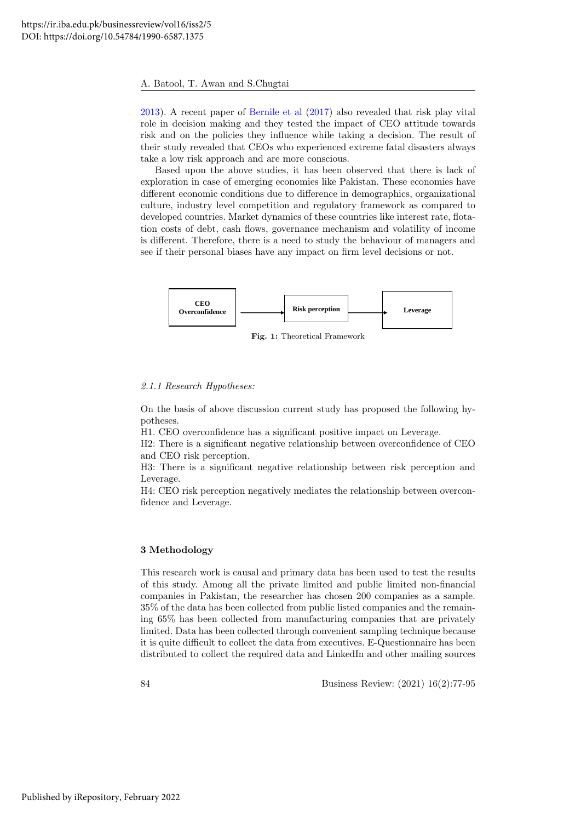[2013\)](#page-15-3). A recent paper of [Bernile et al](#page-13-4) [\(2017\)](#page-13-4) also revealed that risk play vital role in decision making and they tested the impact of CEO attitude towards risk and on the policies they influence while taking a decision. The result of their study revealed that CEOs who experienced extreme fatal disasters always take a low risk approach and are more conscious.

Based upon the above studies, it has been observed that there is lack of exploration in case of emerging economies like Pakistan. These economies have different economic conditions due to difference in demographics, organizational culture, industry level competition and regulatory framework as compared to developed countries. Market dynamics of these countries like interest rate, flotation costs of debt, cash flows, governance mechanism and volatility of income is different. Therefore, there is a need to study the behaviour of managers and see if their personal biases have any impact on firm level decisions or not.



Fig. 1: Theoretical Framework

#### 2.1.1 Research Hypotheses:

On the basis of above discussion current study has proposed the following hypotheses.

H1. CEO overconfidence has a significant positive impact on Leverage.

H2: There is a significant negative relationship between overconfidence of CEO and CEO risk perception.

H3: There is a significant negative relationship between risk perception and Leverage.

H4: CEO risk perception negatively mediates the relationship between overconfidence and Leverage.

#### 3 Methodology

This research work is causal and primary data has been used to test the results of this study. Among all the private limited and public limited non-financial companies in Pakistan, the researcher has chosen 200 companies as a sample. 35% of the data has been collected from public listed companies and the remaining 65% has been collected from manufacturing companies that are privately limited. Data has been collected through convenient sampling technique because it is quite difficult to collect the data from executives. E-Questionnaire has been distributed to collect the required data and LinkedIn and other mailing sources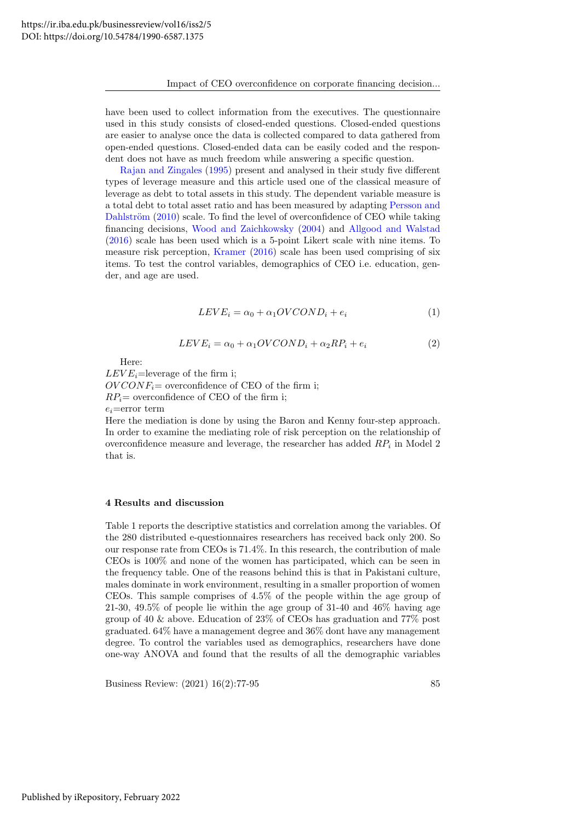have been used to collect information from the executives. The questionnaire used in this study consists of closed-ended questions. Closed-ended questions are easier to analyse once the data is collected compared to data gathered from open-ended questions. Closed-ended data can be easily coded and the respondent does not have as much freedom while answering a specific question.

[Rajan and Zingales](#page-15-14) [\(1995\)](#page-15-14) present and analysed in their study five different types of leverage measure and this article used one of the classical measure of leverage as debt to total assets in this study. The dependent variable measure is a total debt to total asset ratio and has been measured by adapting [Persson and](#page-15-15) Dahlström  $(2010)$  scale. To find the level of overconfidence of CEO while taking financing decisions, [Wood and Zaichkowsky](#page-15-16) [\(2004\)](#page-15-16) and [Allgood and Walstad](#page-13-13) [\(2016\)](#page-13-13) scale has been used which is a 5-point Likert scale with nine items. To measure risk perception, [Kramer](#page-14-23) [\(2016\)](#page-14-23) scale has been used comprising of six items. To test the control variables, demographics of CEO i.e. education, gender, and age are used.

$$
LEVE_i = \alpha_0 + \alpha_1 OVCOND_i + e_i \tag{1}
$$

$$
LEVE_i = \alpha_0 + \alpha_1 OVCOND_i + \alpha_2 RP_i + e_i \tag{2}
$$

Here:

 $LEVE_i$ =leverage of the firm i;  $OVCONF<sub>i</sub>=$  overconfidence of CEO of the firm i;  $RP_i$  = overconfidence of CEO of the firm i;  $e_i$ =error term

Here the mediation is done by using the Baron and Kenny four-step approach. In order to examine the mediating role of risk perception on the relationship of overconfidence measure and leverage, the researcher has added  $RP_i$  in Model 2 that is.

#### 4 Results and discussion

Table 1 reports the descriptive statistics and correlation among the variables. Of the 280 distributed e-questionnaires researchers has received back only 200. So our response rate from CEOs is 71.4%. In this research, the contribution of male CEOs is 100% and none of the women has participated, which can be seen in the frequency table. One of the reasons behind this is that in Pakistani culture, males dominate in work environment, resulting in a smaller proportion of women CEOs. This sample comprises of 4.5% of the people within the age group of 21-30, 49.5% of people lie within the age group of 31-40 and 46% having age group of 40 & above. Education of 23% of CEOs has graduation and 77% post graduated. 64% have a management degree and 36% dont have any management degree. To control the variables used as demographics, researchers have done one-way ANOVA and found that the results of all the demographic variables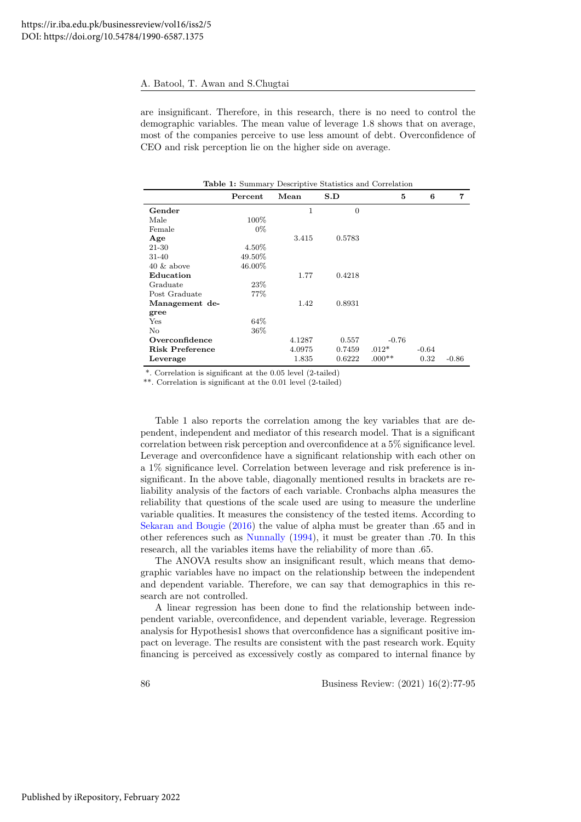are insignificant. Therefore, in this research, there is no need to control the demographic variables. The mean value of leverage 1.8 shows that on average, most of the companies perceive to use less amount of debt. Overconfidence of CEO and risk perception lie on the higher side on average.

| <b>rapic 1.</b> Dummary Descriptive Diamones and Correlation |          |        |                |          |         |                |  |  |
|--------------------------------------------------------------|----------|--------|----------------|----------|---------|----------------|--|--|
|                                                              | Percent  | Mean   | S.D            | 5        | 6       | $\overline{7}$ |  |  |
| Gender                                                       |          | 1      | $\overline{0}$ |          |         |                |  |  |
| Male                                                         | $100\%$  |        |                |          |         |                |  |  |
| Female                                                       | $0\%$    |        |                |          |         |                |  |  |
| Age                                                          |          | 3.415  | 0.5783         |          |         |                |  |  |
| 21-30                                                        | $4.50\%$ |        |                |          |         |                |  |  |
| $31 - 40$                                                    | 49.50%   |        |                |          |         |                |  |  |
| $40 \&$ above                                                | 46.00%   |        |                |          |         |                |  |  |
| Education                                                    |          | 1.77   | 0.4218         |          |         |                |  |  |
| Graduate                                                     | 23\%     |        |                |          |         |                |  |  |
| Post Graduate                                                | 77\%     |        |                |          |         |                |  |  |
| Management de-                                               |          | 1.42   | 0.8931         |          |         |                |  |  |
| gree                                                         |          |        |                |          |         |                |  |  |
| Yes                                                          | 64%      |        |                |          |         |                |  |  |
| No                                                           | 36\%     |        |                |          |         |                |  |  |
| Overconfidence                                               |          | 4.1287 | 0.557          | $-0.76$  |         |                |  |  |
| <b>Risk Preference</b>                                       |          | 4.0975 | 0.7459         | $.012*$  | $-0.64$ |                |  |  |
| Leverage                                                     |          | 1.835  | 0.6222         | $.000**$ | 0.32    | $-0.86$        |  |  |

Table 1: Summary Descriptive Statistics and Correlation

\*. Correlation is significant at the 0.05 level (2-tailed)

\*\*. Correlation is significant at the 0.01 level (2-tailed)

Table 1 also reports the correlation among the key variables that are dependent, independent and mediator of this research model. That is a significant correlation between risk perception and overconfidence at a 5% significance level. Leverage and overconfidence have a significant relationship with each other on a 1% significance level. Correlation between leverage and risk preference is insignificant. In the above table, diagonally mentioned results in brackets are reliability analysis of the factors of each variable. Cronbachs alpha measures the reliability that questions of the scale used are using to measure the underline variable qualities. It measures the consistency of the tested items. According to [Sekaran and Bougie](#page-15-17) [\(2016\)](#page-15-17) the value of alpha must be greater than .65 and in other references such as [Nunnally](#page-15-18) [\(1994\)](#page-15-18), it must be greater than .70. In this research, all the variables items have the reliability of more than .65.

The ANOVA results show an insignificant result, which means that demographic variables have no impact on the relationship between the independent and dependent variable. Therefore, we can say that demographics in this research are not controlled.

A linear regression has been done to find the relationship between independent variable, overconfidence, and dependent variable, leverage. Regression analysis for Hypothesis1 shows that overconfidence has a significant positive impact on leverage. The results are consistent with the past research work. Equity financing is perceived as excessively costly as compared to internal finance by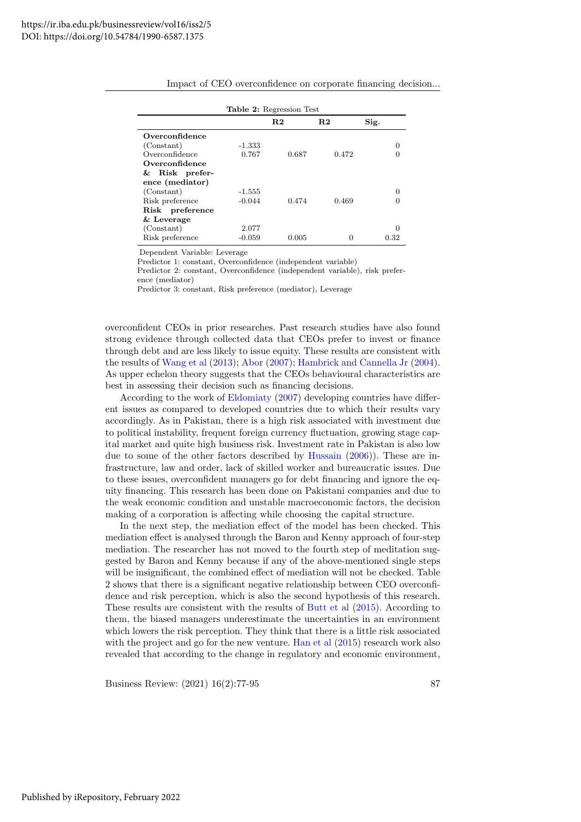|                 |          | R.2   | R.2   | Sig. |
|-----------------|----------|-------|-------|------|
| Overconfidence  |          |       |       |      |
| (Constant)      | -1.333   |       |       |      |
| Overconfidence  | 0.767    | 0.687 | 0.472 |      |
| Overconfidence  |          |       |       |      |
| & Risk prefer-  |          |       |       |      |
| ence (mediator) |          |       |       |      |
| (Constant)      | $-1.555$ |       |       |      |
| Risk preference | $-0.044$ | 0.474 | 0.469 |      |
| Risk preference |          |       |       |      |
| $&$ Leverage    |          |       |       |      |
| (Constant)      | 2.077    |       |       |      |
| Risk preference | $-0.059$ | 0.005 | O     | 0.32 |

|  | Impact of CEO overconfidence on corporate financing decision |  |  |
|--|--------------------------------------------------------------|--|--|
|  |                                                              |  |  |
|  |                                                              |  |  |

Dependent Variable: Leverage

Predictor 1: constant, Overconfidence (independent variable)

Predictor 2: constant, Overconfidence (independent variable), risk preference (mediator)

Predictor 3: constant, Risk preference (mediator), Leverage

overconfident CEOs in prior researches. Past research studies have also found strong evidence through collected data that CEOs prefer to invest or finance through debt and are less likely to issue equity. These results are consistent with the results of [Wang et al](#page-15-19) [\(2013\)](#page-15-19); [Abor](#page-13-14) [\(2007\)](#page-13-14); [Hambrick and Cannella Jr](#page-14-18) [\(2004\)](#page-14-18). As upper echelon theory suggests that the CEOs behavioural characteristics are best in assessing their decision such as financing decisions.

According to the work of [Eldomiaty](#page-14-24) [\(2007\)](#page-14-24) developing countries have different issues as compared to developed countries due to which their results vary accordingly. As in Pakistan, there is a high risk associated with investment due to political instability, frequent foreign currency fluctuation, growing stage capital market and quite high business risk. Investment rate in Pakistan is also low due to some of the other factors described by [Hussain](#page-14-25) [\(2006\)](#page-14-25)). These are infrastructure, law and order, lack of skilled worker and bureaucratic issues. Due to these issues, overconfident managers go for debt financing and ignore the equity financing. This research has been done on Pakistani companies and due to the weak economic condition and unstable macroeconomic factors, the decision making of a corporation is affecting while choosing the capital structure.

In the next step, the mediation effect of the model has been checked. This mediation effect is analysed through the Baron and Kenny approach of four-step mediation. The researcher has not moved to the fourth step of meditation suggested by Baron and Kenny because if any of the above-mentioned single steps will be insignificant, the combined effect of mediation will not be checked. Table 2 shows that there is a significant negative relationship between CEO overconfidence and risk perception, which is also the second hypothesis of this research. These results are consistent with the results of [Butt et al](#page-13-12) [\(2015\)](#page-13-12). According to them, the biased managers underestimate the uncertainties in an environment which lowers the risk perception. They think that there is a little risk associated with the project and go for the new venture. [Han et al](#page-14-21) [\(2015\)](#page-14-21) research work also revealed that according to the change in regulatory and economic environment,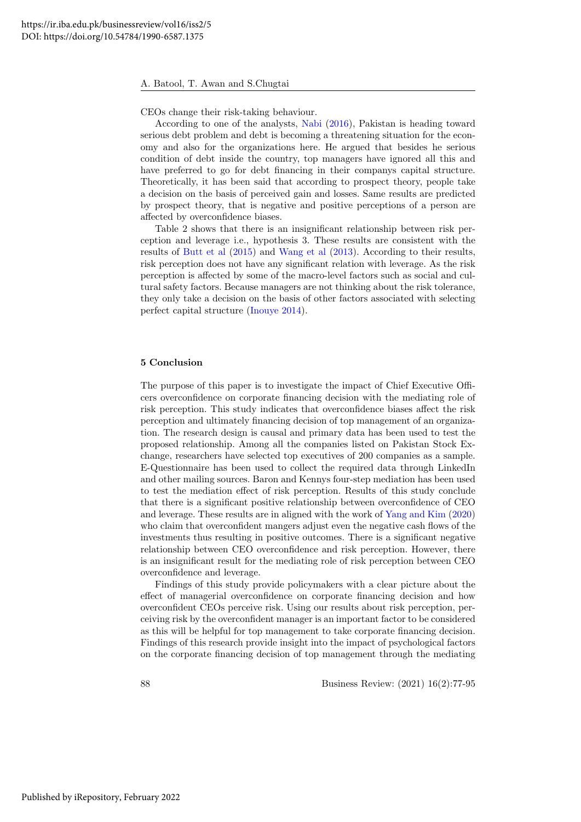CEOs change their risk-taking behaviour.

According to one of the analysts, [Nabi](#page-15-20) [\(2016\)](#page-15-20), Pakistan is heading toward serious debt problem and debt is becoming a threatening situation for the economy and also for the organizations here. He argued that besides he serious condition of debt inside the country, top managers have ignored all this and have preferred to go for debt financing in their companys capital structure. Theoretically, it has been said that according to prospect theory, people take a decision on the basis of perceived gain and losses. Same results are predicted by prospect theory, that is negative and positive perceptions of a person are affected by overconfidence biases.

Table 2 shows that there is an insignificant relationship between risk perception and leverage i.e., hypothesis 3. These results are consistent with the results of [Butt et al](#page-13-12) [\(2015\)](#page-13-12) and [Wang et al](#page-15-19) [\(2013\)](#page-15-19). According to their results, risk perception does not have any significant relation with leverage. As the risk perception is affected by some of the macro-level factors such as social and cultural safety factors. Because managers are not thinking about the risk tolerance, they only take a decision on the basis of other factors associated with selecting perfect capital structure [\(Inouye 2014\)](#page-14-26).

#### 5 Conclusion

The purpose of this paper is to investigate the impact of Chief Executive Officers overconfidence on corporate financing decision with the mediating role of risk perception. This study indicates that overconfidence biases affect the risk perception and ultimately financing decision of top management of an organization. The research design is causal and primary data has been used to test the proposed relationship. Among all the companies listed on Pakistan Stock Exchange, researchers have selected top executives of 200 companies as a sample. E-Questionnaire has been used to collect the required data through LinkedIn and other mailing sources. Baron and Kennys four-step mediation has been used to test the mediation effect of risk perception. Results of this study conclude that there is a significant positive relationship between overconfidence of CEO and leverage. These results are in aligned with the work of [Yang and Kim](#page-15-21) [\(2020\)](#page-15-21) who claim that overconfident mangers adjust even the negative cash flows of the investments thus resulting in positive outcomes. There is a significant negative relationship between CEO overconfidence and risk perception. However, there is an insignificant result for the mediating role of risk perception between CEO overconfidence and leverage.

Findings of this study provide policymakers with a clear picture about the effect of managerial overconfidence on corporate financing decision and how overconfident CEOs perceive risk. Using our results about risk perception, perceiving risk by the overconfident manager is an important factor to be considered as this will be helpful for top management to take corporate financing decision. Findings of this research provide insight into the impact of psychological factors on the corporate financing decision of top management through the mediating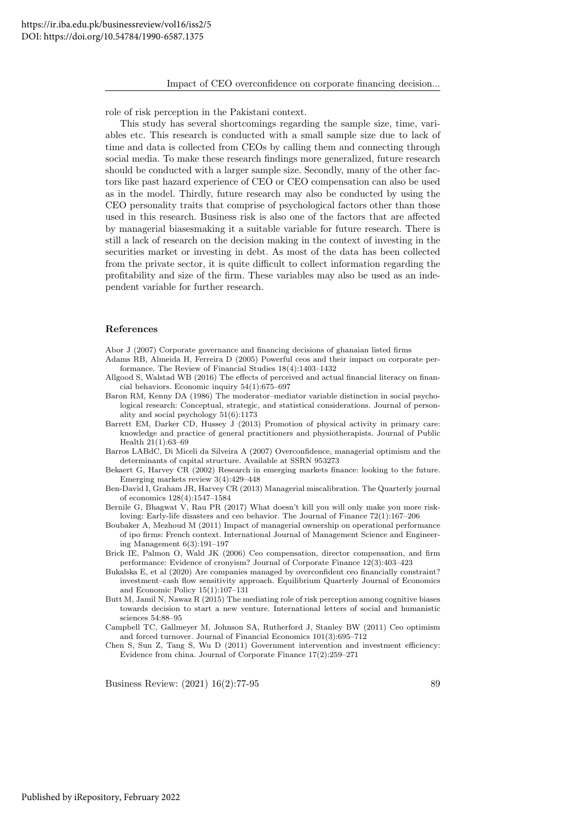role of risk perception in the Pakistani context.

This study has several shortcomings regarding the sample size, time, variables etc. This research is conducted with a small sample size due to lack of time and data is collected from CEOs by calling them and connecting through social media. To make these research findings more generalized, future research should be conducted with a larger sample size. Secondly, many of the other factors like past hazard experience of CEO or CEO compensation can also be used as in the model. Thirdly, future research may also be conducted by using the CEO personality traits that comprise of psychological factors other than those used in this research. Business risk is also one of the factors that are affected by managerial biasesmaking it a suitable variable for future research. There is still a lack of research on the decision making in the context of investing in the securities market or investing in debt. As most of the data has been collected from the private sector, it is quite difficult to collect information regarding the profitability and size of the firm. These variables may also be used as an independent variable for further research.

#### References

<span id="page-13-14"></span>Abor J (2007) Corporate governance and financing decisions of ghanaian listed firms

<span id="page-13-9"></span>Adams RB, Almeida H, Ferreira D (2005) Powerful ceos and their impact on corporate performance. The Review of Financial Studies 18(4):1403–1432

- <span id="page-13-13"></span>Allgood S, Walstad WB (2016) The effects of perceived and actual financial literacy on financial behaviors. Economic inquiry 54(1):675–697
- <span id="page-13-3"></span>Baron RM, Kenny DA (1986) The moderator–mediator variable distinction in social psychological research: Conceptual, strategic, and statistical considerations. Journal of personality and social psychology 51(6):1173
- <span id="page-13-10"></span>Barrett EM, Darker CD, Hussey J (2013) Promotion of physical activity in primary care: knowledge and practice of general practitioners and physiotherapists. Journal of Public Health 21(1):63–69
- <span id="page-13-0"></span>Barros LABdC, Di Miceli da Silveira A (2007) Overconfidence, managerial optimism and the determinants of capital structure. Available at SSRN 953273

<span id="page-13-6"></span>Bekaert G, Harvey CR (2002) Research in emerging markets finance: looking to the future. Emerging markets review 3(4):429–448

- <span id="page-13-7"></span>Ben-David I, Graham JR, Harvey CR (2013) Managerial miscalibration. The Quarterly journal of economics 128(4):1547–1584
- <span id="page-13-4"></span>Bernile G, Bhagwat V, Rau PR (2017) What doesn't kill you will only make you more riskloving: Early-life disasters and ceo behavior. The Journal of Finance 72(1):167–206
- <span id="page-13-2"></span>Boubaker A, Mezhoud M (2011) Impact of managerial ownership on operational performance of ipo firms: French context. International Journal of Management Science and Engineering Management 6(3):191–197
- <span id="page-13-1"></span>Brick IE, Palmon O, Wald JK (2006) Ceo compensation, director compensation, and firm performance: Evidence of cronyism? Journal of Corporate Finance 12(3):403–423
- <span id="page-13-8"></span>Bukalska E, et al (2020) Are companies managed by overconfident ceo financially constraint? investment–cash flow sensitivity approach. Equilibrium Quarterly Journal of Economics and Economic Policy 15(1):107–131
- <span id="page-13-12"></span>Butt M, Jamil N, Nawaz R (2015) The mediating role of risk perception among cognitive biases towards decision to start a new venture. International letters of social and humanistic sciences 54:88–95
- <span id="page-13-11"></span>Campbell TC, Gallmeyer M, Johnson SA, Rutherford J, Stanley BW (2011) Ceo optimism and forced turnover. Journal of Financial Economics 101(3):695–712
- <span id="page-13-5"></span>Chen S, Sun Z, Tang S, Wu D (2011) Government intervention and investment efficiency: Evidence from china. Journal of Corporate Finance 17(2):259–271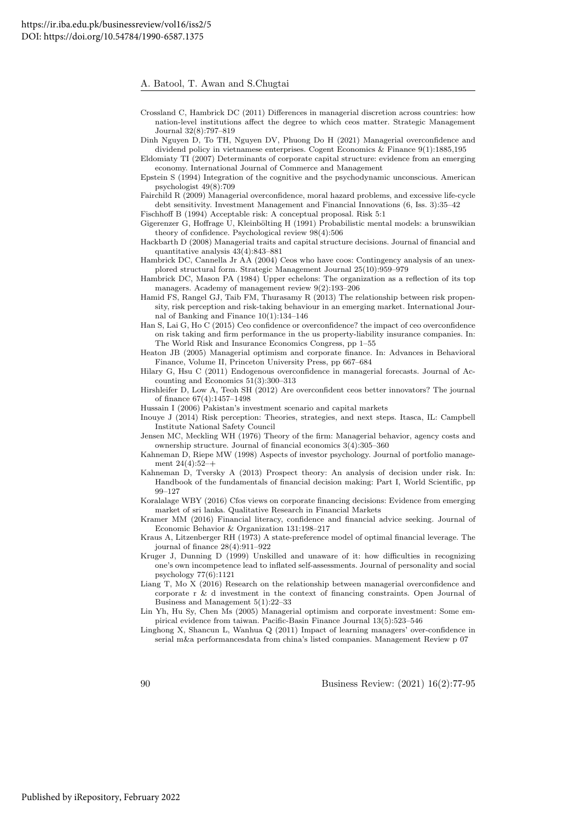- <span id="page-14-16"></span>Crossland C, Hambrick DC (2011) Differences in managerial discretion across countries: how nation-level institutions affect the degree to which ceos matter. Strategic Management Journal 32(8):797–819
- <span id="page-14-14"></span>Dinh Nguyen D, To TH, Nguyen DV, Phuong Do H (2021) Managerial overconfidence and dividend policy in vietnamese enterprises. Cogent Economics & Finance 9(1):1885,195
- <span id="page-14-24"></span>Eldomiaty TI (2007) Determinants of corporate capital structure: evidence from an emerging economy. International Journal of Commerce and Management
- <span id="page-14-4"></span>Epstein S (1994) Integration of the cognitive and the psychodynamic unconscious. American psychologist 49(8):709
- <span id="page-14-15"></span>Fairchild R (2009) Managerial overconfidence, moral hazard problems, and excessive life-cycle debt sensitivity. Investment Management and Financial Innovations (6, Iss. 3):35–42
- <span id="page-14-11"></span>Fischhoff B (1994) Acceptable risk: A conceptual proposal. Risk 5:1
- <span id="page-14-10"></span>Gigerenzer G, Hoffrage U, Kleinbölting H (1991) Probabilistic mental models: a brunswikian theory of confidence. Psychological review 98(4):506
- <span id="page-14-17"></span>Hackbarth D (2008) Managerial traits and capital structure decisions. Journal of financial and quantitative analysis 43(4):843–881
- <span id="page-14-18"></span>Hambrick DC, Cannella Jr AA (2004) Ceos who have coos: Contingency analysis of an unexplored structural form. Strategic Management Journal 25(10):959–979
- <span id="page-14-2"></span>Hambrick DC, Mason PA (1984) Upper echelons: The organization as a reflection of its top managers. Academy of management review 9(2):193–206
- <span id="page-14-19"></span>Hamid FS, Rangel GJ, Taib FM, Thurasamy R (2013) The relationship between risk propensity, risk perception and risk-taking behaviour in an emerging market. International Journal of Banking and Finance 10(1):134–146
- <span id="page-14-21"></span>Han S, Lai G, Ho C (2015) Ceo confidence or overconfidence? the impact of ceo overconfidence on risk taking and firm performance in the us property-liability insurance companies. In: The World Risk and Insurance Economics Congress, pp 1–55
- <span id="page-14-9"></span>Heaton JB (2005) Managerial optimism and corporate finance. In: Advances in Behavioral Finance, Volume II, Princeton University Press, pp 667–684
- <span id="page-14-1"></span>Hilary G, Hsu C (2011) Endogenous overconfidence in managerial forecasts. Journal of Accounting and Economics 51(3):300–313
- <span id="page-14-20"></span>Hirshleifer D, Low A, Teoh SH (2012) Are overconfident ceos better innovators? The journal of finance 67(4):1457–1498
- <span id="page-14-25"></span>Hussain I (2006) Pakistan's investment scenario and capital markets
- <span id="page-14-26"></span>Inouye J (2014) Risk perception: Theories, strategies, and next steps. Itasca, IL: Campbell Institute National Safety Council
- <span id="page-14-0"></span>Jensen MC, Meckling WH (1976) Theory of the firm: Managerial behavior, agency costs and ownership structure. Journal of financial economics 3(4):305–360
- <span id="page-14-3"></span>Kahneman D, Riepe MW (1998) Aspects of investor psychology. Journal of portfolio management 24(4):52–+
- <span id="page-14-6"></span>Kahneman D, Tversky A (2013) Prospect theory: An analysis of decision under risk. In: Handbook of the fundamentals of financial decision making: Part I, World Scientific, pp 99–127
- <span id="page-14-5"></span>Koralalage WBY (2016) Cfos views on corporate financing decisions: Evidence from emerging market of sri lanka. Qualitative Research in Financial Markets
- <span id="page-14-23"></span>Kramer MM (2016) Financial literacy, confidence and financial advice seeking. Journal of Economic Behavior & Organization 131:198–217
- <span id="page-14-22"></span>Kraus A, Litzenberger RH (1973) A state-preference model of optimal financial leverage. The journal of finance 28(4):911–922
- <span id="page-14-8"></span>Kruger J, Dunning D (1999) Unskilled and unaware of it: how difficulties in recognizing one's own incompetence lead to inflated self-assessments. Journal of personality and social psychology 77(6):1121
- <span id="page-14-7"></span>Liang T, Mo X (2016) Research on the relationship between managerial overconfidence and corporate r & d investment in the context of financing constraints. Open Journal of Business and Management 5(1):22–33
- <span id="page-14-13"></span>Lin Yh, Hu Sy, Chen Ms (2005) Managerial optimism and corporate investment: Some empirical evidence from taiwan. Pacific-Basin Finance Journal 13(5):523–546
- <span id="page-14-12"></span>Linghong X, Shancun L, Wanhua Q (2011) Impact of learning managers' over-confidence in serial m&a performancesdata from china's listed companies. Management Review p 07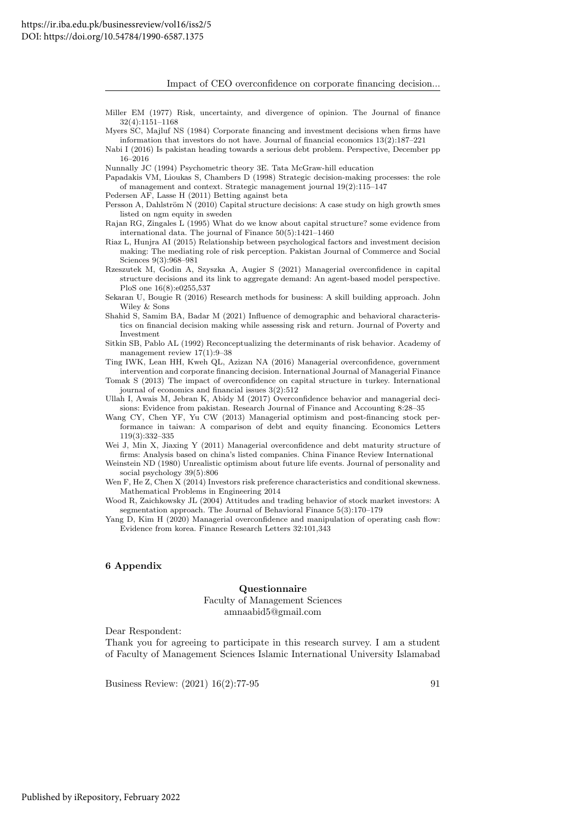Impact of CEO overconfidence on corporate financing decision...

- <span id="page-15-0"></span>Miller EM (1977) Risk, uncertainty, and divergence of opinion. The Journal of finance 32(4):1151–1168
- <span id="page-15-1"></span>Myers SC, Majluf NS (1984) Corporate financing and investment decisions when firms have information that investors do not have. Journal of financial economics 13(2):187–221
- <span id="page-15-20"></span>Nabi I (2016) Is pakistan heading towards a serious debt problem. Perspective, December pp 16–2016
- <span id="page-15-18"></span>Nunnally JC (1994) Psychometric theory 3E. Tata McGraw-hill education
- <span id="page-15-12"></span>Papadakis VM, Lioukas S, Chambers D (1998) Strategic decision-making processes: the role of management and context. Strategic management journal 19(2):115–147
- <span id="page-15-13"></span>Pedersen AF, Lasse H (2011) Betting against beta
- <span id="page-15-15"></span>Persson A, Dahlström N (2010) Capital structure decisions: A case study on high growth smes listed on ngm equity in sweden

<span id="page-15-14"></span>Rajan RG, Zingales L (1995) What do we know about capital structure? some evidence from international data. The journal of Finance 50(5):1421–1460

- <span id="page-15-10"></span>Riaz L, Hunjra AI (2015) Relationship between psychological factors and investment decision making: The mediating role of risk perception. Pakistan Journal of Commerce and Social Sciences 9(3):968–981
- <span id="page-15-7"></span>Rzeszutek M, Godin A, Szyszka A, Augier S (2021) Managerial overconfidence in capital structure decisions and its link to aggregate demand: An agent-based model perspective. PloS one 16(8):e0255,537
- <span id="page-15-17"></span>Sekaran U, Bougie R (2016) Research methods for business: A skill building approach. John Wiley & Sons
- <span id="page-15-8"></span>Shahid S, Samim BA, Badar M (2021) Influence of demographic and behavioral characteristics on financial decision making while assessing risk and return. Journal of Poverty and Investment
- <span id="page-15-9"></span>Sitkin SB, Pablo AL (1992) Reconceptualizing the determinants of risk behavior. Academy of management review  $17(1):9-38$
- <span id="page-15-3"></span><span id="page-15-2"></span>Ting IWK, Lean HH, Kweh QL, Azizan NA (2016) Managerial overconfidence, government intervention and corporate financing decision. International Journal of Managerial Finance Tomak S (2013) The impact of overconfidence on capital structure in turkey. International journal of economics and financial issues 3(2):512
- <span id="page-15-6"></span>Ullah I, Awais M, Jebran K, Abidy M (2017) Overconfidence behavior and managerial decisions: Evidence from pakistan. Research Journal of Finance and Accounting 8:28–35
- <span id="page-15-19"></span>Wang CY, Chen YF, Yu CW (2013) Managerial optimism and post-financing stock performance in taiwan: A comparison of debt and equity financing. Economics Letters 119(3):332–335

<span id="page-15-4"></span>Wei J, Min X, Jiaxing Y (2011) Managerial overconfidence and debt maturity structure of firms: Analysis based on china's listed companies. China Finance Review International

- <span id="page-15-5"></span>Weinstein ND (1980) Unrealistic optimism about future life events. Journal of personality and social psychology 39(5):806
- <span id="page-15-11"></span>Wen F, He Z, Chen X (2014) Investors risk preference characteristics and conditional skewness. Mathematical Problems in Engineering 2014
- <span id="page-15-16"></span>Wood R, Zaichkowsky JL (2004) Attitudes and trading behavior of stock market investors: A segmentation approach. The Journal of Behavioral Finance 5(3):170–179
- <span id="page-15-21"></span>Yang D, Kim H (2020) Managerial overconfidence and manipulation of operating cash flow: Evidence from korea. Finance Research Letters 32:101,343

#### 6 Appendix

#### Questionnaire

Faculty of Management Sciences amnaabid5@gmail.com

Dear Respondent:

Thank you for agreeing to participate in this research survey. I am a student of Faculty of Management Sciences Islamic International University Islamabad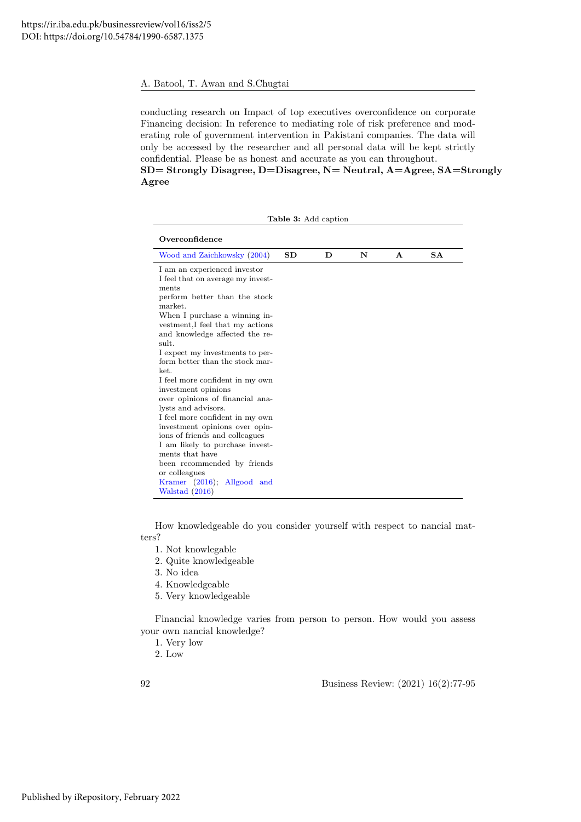conducting research on Impact of top executives overconfidence on corporate Financing decision: In reference to mediating role of risk preference and moderating role of government intervention in Pakistani companies. The data will only be accessed by the researcher and all personal data will be kept strictly confidential. Please be as honest and accurate as you can throughout. SD= Strongly Disagree, D=Disagree, N= Neutral, A=Agree, SA=Strongly

Agree

| <b>Table 3:</b> Add caption                                                                                                                                                                                                                                                                                                                                                                                                                                                                                                                                                                                                                                                                           |           |   |   |              |           |  |
|-------------------------------------------------------------------------------------------------------------------------------------------------------------------------------------------------------------------------------------------------------------------------------------------------------------------------------------------------------------------------------------------------------------------------------------------------------------------------------------------------------------------------------------------------------------------------------------------------------------------------------------------------------------------------------------------------------|-----------|---|---|--------------|-----------|--|
| Overconfidence                                                                                                                                                                                                                                                                                                                                                                                                                                                                                                                                                                                                                                                                                        |           |   |   |              |           |  |
| Wood and Zaichkowsky (2004)                                                                                                                                                                                                                                                                                                                                                                                                                                                                                                                                                                                                                                                                           | <b>SD</b> | D | N | $\mathbf{A}$ | <b>SA</b> |  |
| I am an experienced investor<br>I feel that on average my invest-<br>ments<br>perform better than the stock<br>market.<br>When I purchase a winning in-<br>vestment, I feel that my actions<br>and knowledge affected the re-<br>sult.<br>I expect my investments to per-<br>form better than the stock mar-<br>ket.<br>I feel more confident in my own<br>investment opinions<br>over opinions of financial ana-<br>lysts and advisors.<br>I feel more confident in my own<br>investment opinions over opin-<br>ions of friends and colleagues<br>I am likely to purchase invest-<br>ments that have<br>been recommended by friends<br>or colleagues<br>Kramer (2016); Allgood and<br>Walstad (2016) |           |   |   |              |           |  |

How knowledgeable do you consider yourself with respect to nancial matters?

- 1. Not knowlegable
- 2. Quite knowledgeable
- 3. No idea
- 4. Knowledgeable
- 5. Very knowledgeable

Financial knowledge varies from person to person. How would you assess your own nancial knowledge?

- 1. Very low
- 2. Low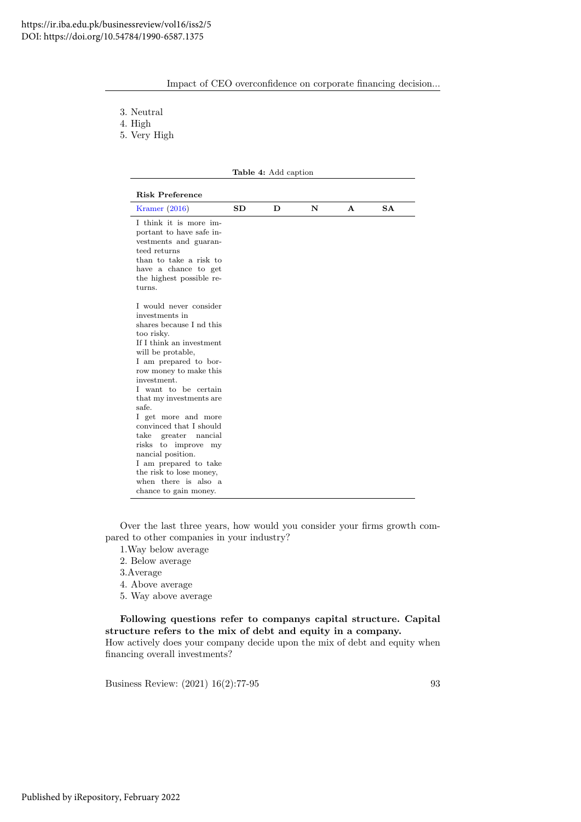| Impact of CEO overconfidence on corporate financing decision |  |  |
|--------------------------------------------------------------|--|--|
|                                                              |  |  |
|                                                              |  |  |
|                                                              |  |  |

3. Neutral

4. High

5. Very High

|                                                                                                                                                                                                                                                                                                                                                                                                                                                                                                             |    | <b>Table 4:</b> Add caption |   |              |           |
|-------------------------------------------------------------------------------------------------------------------------------------------------------------------------------------------------------------------------------------------------------------------------------------------------------------------------------------------------------------------------------------------------------------------------------------------------------------------------------------------------------------|----|-----------------------------|---|--------------|-----------|
| <b>Risk Preference</b>                                                                                                                                                                                                                                                                                                                                                                                                                                                                                      |    |                             |   |              |           |
| Kramer $(2016)$                                                                                                                                                                                                                                                                                                                                                                                                                                                                                             | SD | D                           | N | $\mathbf{A}$ | <b>SA</b> |
| I think it is more im-<br>portant to have safe in-<br>vestments and guaran-<br>teed returns<br>than to take a risk to<br>have a chance to get<br>the highest possible re-<br>turns.                                                                                                                                                                                                                                                                                                                         |    |                             |   |              |           |
| I would never consider<br>investments in<br>shares because I nd this<br>too risky.<br>If I think an investment<br>will be protable,<br>I am prepared to bor-<br>row money to make this<br>investment.<br>I want to be certain<br>that my investments are<br>safe.<br>I get more and more<br>convinced that I should<br>greater nancial<br>$_{\rm take}$<br>risks to improve<br>my<br>nancial position.<br>I am prepared to take<br>the risk to lose money,<br>when there is also a<br>chance to gain money. |    |                             |   |              |           |

Over the last three years, how would you consider your firms growth compared to other companies in your industry?

- 1.Way below average
- 2. Below average
- 3.Average
- 4. Above average
- 5. Way above average

Following questions refer to companys capital structure. Capital structure refers to the mix of debt and equity in a company. How actively does your company decide upon the mix of debt and equity when

financing overall investments?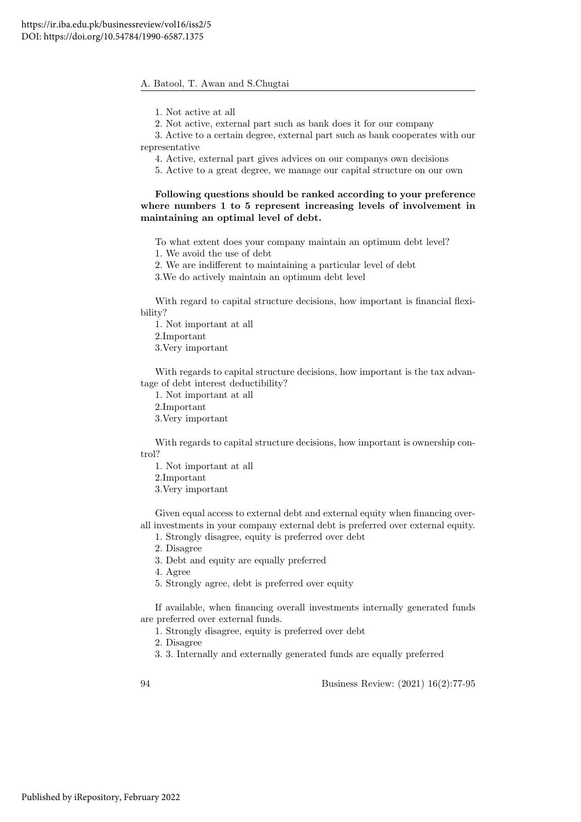1. Not active at all

2. Not active, external part such as bank does it for our company

3. Active to a certain degree, external part such as bank cooperates with our representative

4. Active, external part gives advices on our companys own decisions

5. Active to a great degree, we manage our capital structure on our own

### Following questions should be ranked according to your preference where numbers 1 to 5 represent increasing levels of involvement in maintaining an optimal level of debt.

To what extent does your company maintain an optimum debt level? 1. We avoid the use of debt

2. We are indifferent to maintaining a particular level of debt

3.We do actively maintain an optimum debt level

With regard to capital structure decisions, how important is financial flexibility?

1. Not important at all 2.Important 3.Very important

With regards to capital structure decisions, how important is the tax advantage of debt interest deductibility?

1. Not important at all

2.Important

3.Very important

With regards to capital structure decisions, how important is ownership control?

1. Not important at all

2.Important

3.Very important

Given equal access to external debt and external equity when financing overall investments in your company external debt is preferred over external equity.

1. Strongly disagree, equity is preferred over debt

2. Disagree

3. Debt and equity are equally preferred

4. Agree

5. Strongly agree, debt is preferred over equity

If available, when financing overall investments internally generated funds are preferred over external funds.

1. Strongly disagree, equity is preferred over debt

2. Disagree

3. 3. Internally and externally generated funds are equally preferred